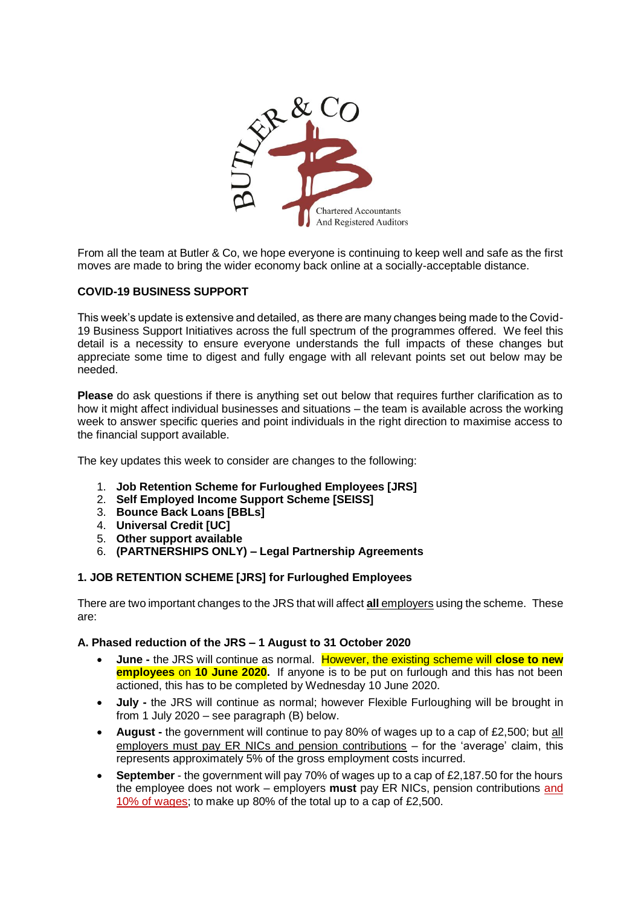

From all the team at Butler & Co, we hope everyone is continuing to keep well and safe as the first moves are made to bring the wider economy back online at a socially-acceptable distance.

# **COVID-19 BUSINESS SUPPORT**

This week's update is extensive and detailed, as there are many changes being made to the Covid-19 Business Support Initiatives across the full spectrum of the programmes offered. We feel this detail is a necessity to ensure everyone understands the full impacts of these changes but appreciate some time to digest and fully engage with all relevant points set out below may be needed.

**Please** do ask questions if there is anything set out below that requires further clarification as to how it might affect individual businesses and situations – the team is available across the working week to answer specific queries and point individuals in the right direction to maximise access to the financial support available.

The key updates this week to consider are changes to the following:

- 1. **Job Retention Scheme for Furloughed Employees [JRS]**
- 2. **Self Employed Income Support Scheme [SEISS]**
- 3. **Bounce Back Loans [BBLs]**
- 4. **Universal Credit [UC]**
- 5. **Other support available**
- 6. **(PARTNERSHIPS ONLY) – Legal Partnership Agreements**

### **1. JOB RETENTION SCHEME [JRS] for Furloughed Employees**

There are two important changes to the JRS that will affect **all** employers using the scheme. These are:

### **A. Phased reduction of the JRS – 1 August to 31 October 2020**

- **June -** the JRS will continue as normal. However, the existing scheme will **close to new employees** on **10 June 2020.** If anyone is to be put on furlough and this has not been actioned, this has to be completed by Wednesday 10 June 2020.
- **July -** the JRS will continue as normal; however Flexible Furloughing will be brought in from 1 July 2020 – see paragraph (B) below.
- **August -** the government will continue to pay 80% of wages up to a cap of £2,500; but all employers must pay ER NICs and pension contributions – for the 'average' claim, this represents approximately 5% of the gross employment costs incurred.
- **September** the government will pay 70% of wages up to a cap of £2,187.50 for the hours the employee does not work – employers **must** pay ER NICs, pension contributions and 10% of wages; to make up 80% of the total up to a cap of £2,500.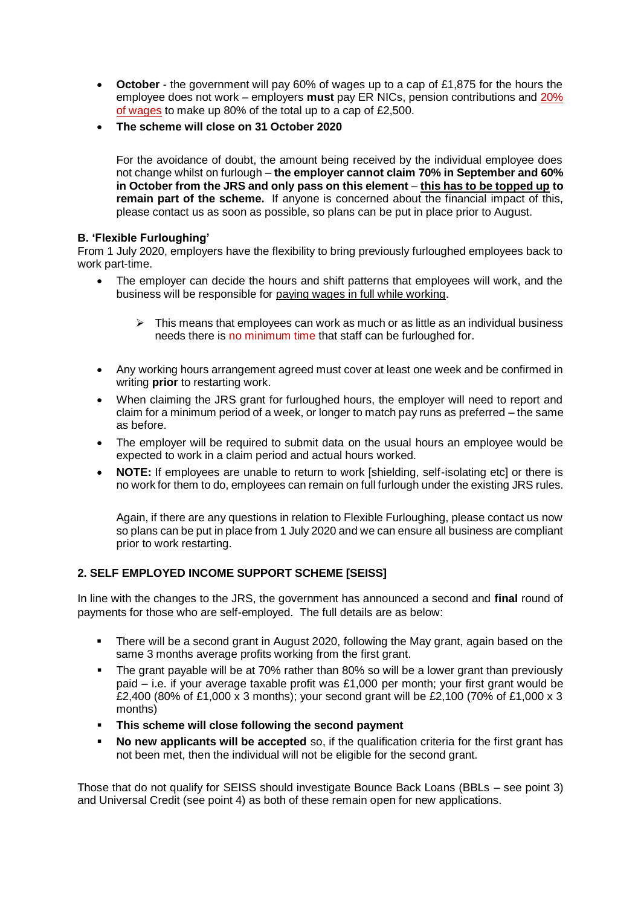- **October** the government will pay 60% of wages up to a cap of £1,875 for the hours the employee does not work – employers **must** pay ER NICs, pension contributions and 20% of wages to make up 80% of the total up to a cap of £2,500.
- **The scheme will close on 31 October 2020**

For the avoidance of doubt, the amount being received by the individual employee does not change whilst on furlough – **the employer cannot claim 70% in September and 60% in October from the JRS and only pass on this element** – **this has to be topped up to remain part of the scheme.** If anyone is concerned about the financial impact of this, please contact us as soon as possible, so plans can be put in place prior to August.

## **B. 'Flexible Furloughing'**

From 1 July 2020, employers have the flexibility to bring previously furloughed employees back to work part-time.

- The employer can decide the hours and shift patterns that employees will work, and the business will be responsible for paying wages in full while working.
	- $\triangleright$  This means that employees can work as much or as little as an individual business needs there is no minimum time that staff can be furloughed for.
- Any working hours arrangement agreed must cover at least one week and be confirmed in writing **prior** to restarting work.
- When claiming the JRS grant for furloughed hours, the employer will need to report and claim for a minimum period of a week, or longer to match pay runs as preferred – the same as before.
- The employer will be required to submit data on the usual hours an employee would be expected to work in a claim period and actual hours worked.
- **NOTE:** If employees are unable to return to work [shielding, self-isolating etc] or there is no work for them to do, employees can remain on full furlough under the existing JRS rules.

Again, if there are any questions in relation to Flexible Furloughing, please contact us now so plans can be put in place from 1 July 2020 and we can ensure all business are compliant prior to work restarting.

# **2. SELF EMPLOYED INCOME SUPPORT SCHEME [SEISS]**

In line with the changes to the JRS, the government has announced a second and **final** round of payments for those who are self-employed. The full details are as below:

- There will be a second grant in August 2020, following the May grant, again based on the same 3 months average profits working from the first grant.
- The grant payable will be at 70% rather than 80% so will be a lower grant than previously paid – i.e. if your average taxable profit was £1,000 per month; your first grant would be £2,400 (80% of £1,000 x 3 months); your second grant will be £2,100 (70% of £1,000 x 3 months)
- **This scheme will close following the second payment**
- **No new applicants will be accepted** so, if the qualification criteria for the first grant has not been met, then the individual will not be eligible for the second grant.

Those that do not qualify for SEISS should investigate Bounce Back Loans (BBLs – see point 3) and Universal Credit (see point 4) as both of these remain open for new applications.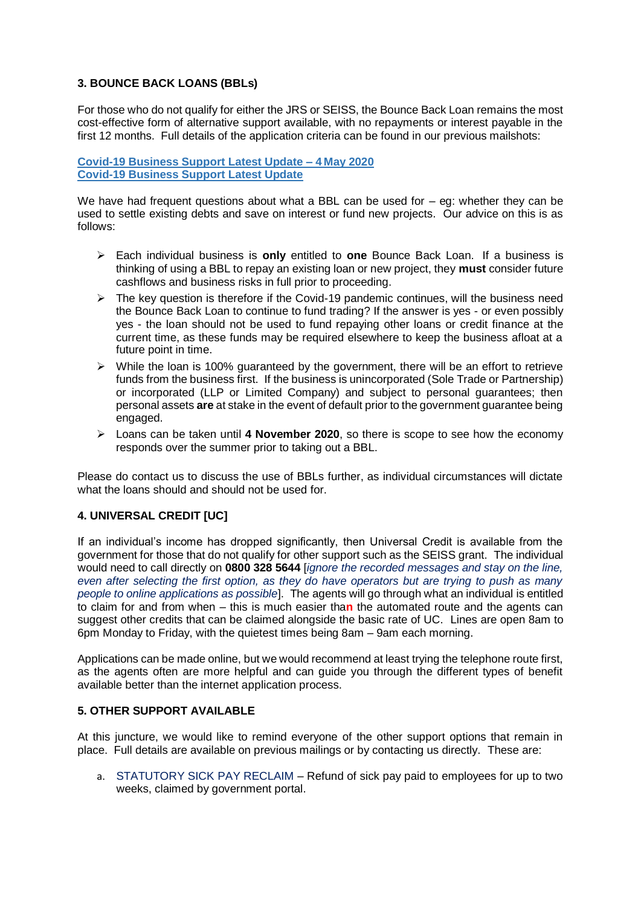## **3. BOUNCE BACK LOANS (BBLs)**

For those who do not qualify for either the JRS or SEISS, the Bounce Back Loan remains the most cost-effective form of alternative support available, with no repayments or interest payable in the first 12 months. Full details of the application criteria can be found in our previous mailshots:

**[Covid-19 Business Support Latest Update –](https://www.butler-co.co.uk/pdf/coronavirus/covid-bus-support-0405.pdf) 4 May 2020 [Covid-19 Business Support Latest Update](https://www.butler-co.co.uk/pdf/coronavirus/covid-bus-support-latest.pdf)**

We have had frequent questions about what a BBL can be used for  $-$  eq: whether they can be used to settle existing debts and save on interest or fund new projects. Our advice on this is as follows:

- Each individual business is **only** entitled to **one** Bounce Back Loan. If a business is thinking of using a BBL to repay an existing loan or new project, they **must** consider future cashflows and business risks in full prior to proceeding.
- $\triangleright$  The key question is therefore if the Covid-19 pandemic continues, will the business need the Bounce Back Loan to continue to fund trading? If the answer is yes - or even possibly yes - the loan should not be used to fund repaying other loans or credit finance at the current time, as these funds may be required elsewhere to keep the business afloat at a future point in time.
- $\triangleright$  While the loan is 100% guaranteed by the government, there will be an effort to retrieve funds from the business first. If the business is unincorporated (Sole Trade or Partnership) or incorporated (LLP or Limited Company) and subject to personal guarantees; then personal assets **are** at stake in the event of default prior to the government guarantee being engaged.
- Loans can be taken until **4 November 2020**, so there is scope to see how the economy responds over the summer prior to taking out a BBL.

Please do contact us to discuss the use of BBLs further, as individual circumstances will dictate what the loans should and should not be used for.

### **4. UNIVERSAL CREDIT [UC]**

If an individual's income has dropped significantly, then Universal Credit is available from the government for those that do not qualify for other support such as the SEISS grant. The individual would need to call directly on **0800 328 5644** [*ignore the recorded messages and stay on the line, even after selecting the first option, as they do have operators but are trying to push as many people to online applications as possible*]. The agents will go through what an individual is entitled to claim for and from when – this is much easier tha**n** the automated route and the agents can suggest other credits that can be claimed alongside the basic rate of UC. Lines are open 8am to 6pm Monday to Friday, with the quietest times being 8am – 9am each morning.

Applications can be made online, but we would recommend at least trying the telephone route first, as the agents often are more helpful and can guide you through the different types of benefit available better than the internet application process.

### **5. OTHER SUPPORT AVAILABLE**

At this juncture, we would like to remind everyone of the other support options that remain in place. Full details are available on previous mailings or by contacting us directly. These are:

a. STATUTORY SICK PAY RECLAIM – Refund of sick pay paid to employees for up to two weeks, claimed by government portal.